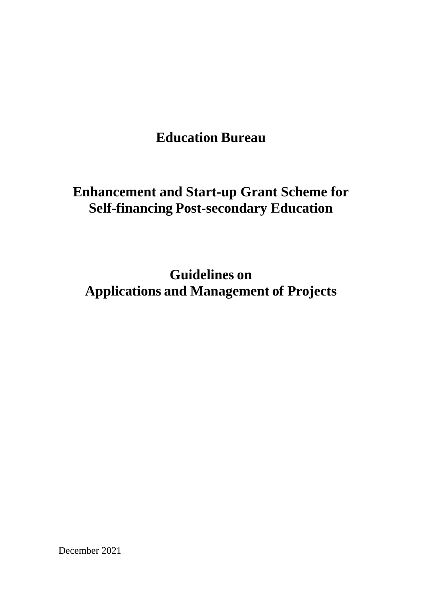**Education Bureau**

## **Enhancement and Start-up Grant Scheme for Self-financing Post-secondary Education**

**Guidelines on Applications and Management of Projects**

December 2021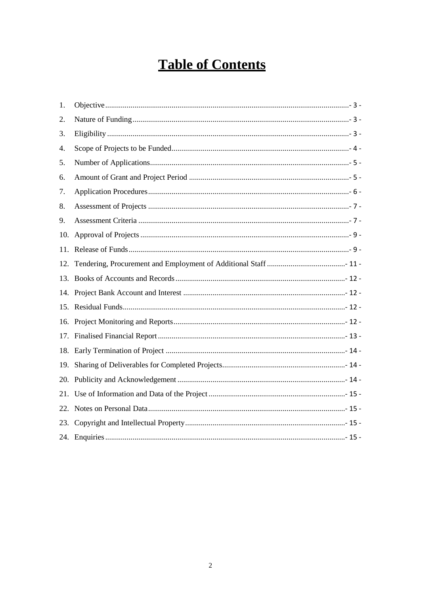# **Table of Contents**

| 1.  |  |
|-----|--|
| 2.  |  |
| 3.  |  |
| 4.  |  |
| 5.  |  |
| 6.  |  |
| 7.  |  |
| 8.  |  |
| 9.  |  |
| 10. |  |
| 11. |  |
| 12. |  |
|     |  |
|     |  |
|     |  |
|     |  |
|     |  |
|     |  |
| 19. |  |
| 20. |  |
| 21. |  |
|     |  |
|     |  |
|     |  |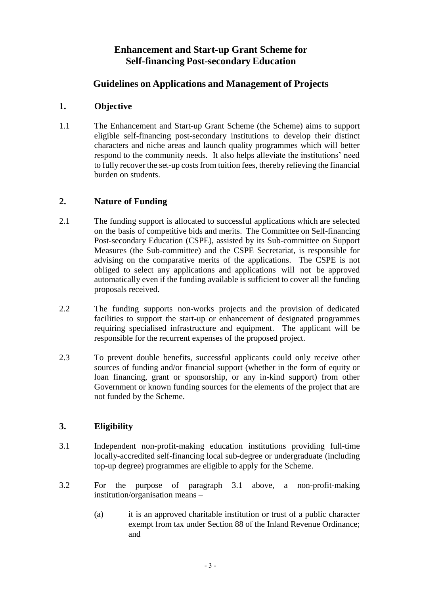## **Enhancement and Start-up Grant Scheme for Self-financing Post-secondary Education**

## **Guidelines on Applications and Management of Projects**

#### <span id="page-2-0"></span>**1. Objective**

1.1 The Enhancement and Start-up Grant Scheme (the Scheme) aims to support eligible self-financing post-secondary institutions to develop their distinct characters and niche areas and launch quality programmes which will better respond to the community needs. It also helps alleviate the institutions' need to fully recover the set-up costs from tuition fees, thereby relieving the financial burden on students.

#### <span id="page-2-1"></span>**2. Nature of Funding**

- 2.1 The funding support is allocated to successful applications which are selected on the basis of competitive bids and merits. The Committee on Self-financing Post-secondary Education (CSPE), assisted by its Sub-committee on Support Measures (the Sub-committee) and the CSPE Secretariat, is responsible for advising on the comparative merits of the applications. The CSPE is not obliged to select any applications and applications will not be approved automatically even if the funding available is sufficient to cover all the funding proposals received.
- 2.2 The funding supports non-works projects and the provision of dedicated facilities to support the start-up or enhancement of designated programmes requiring specialised infrastructure and equipment. The applicant will be responsible for the recurrent expenses of the proposed project.
- 2.3 To prevent double benefits, successful applicants could only receive other sources of funding and/or financial support (whether in the form of equity or loan financing, grant or sponsorship, or any in-kind support) from other Government or known funding sources for the elements of the project that are not funded by the Scheme.

#### <span id="page-2-2"></span>**3. Eligibility**

- 3.1 Independent non-profit-making education institutions providing full-time locally-accredited self-financing local sub-degree or undergraduate (including top-up degree) programmes are eligible to apply for the Scheme.
- 3.2 For the purpose of paragraph 3.1 above, a non-profit-making institution/organisation means –
	- (a) it is an approved charitable institution or trust of a public character exempt from tax under Section 88 of the Inland Revenue Ordinance; and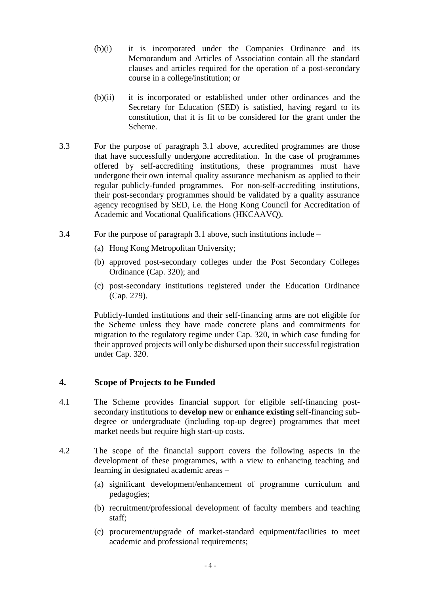- (b)(i) it is incorporated under the Companies Ordinance and its Memorandum and Articles of Association contain all the standard clauses and articles required for the operation of a post-secondary course in a college/institution; or
- (b)(ii) it is incorporated or established under other ordinances and the Secretary for Education (SED) is satisfied, having regard to its constitution, that it is fit to be considered for the grant under the Scheme.
- 3.3 For the purpose of paragraph 3.1 above, accredited programmes are those that have successfully undergone accreditation. In the case of programmes offered by self-accrediting institutions, these programmes must have undergone their own internal quality assurance mechanism as applied to their regular publicly-funded programmes. For non-self-accrediting institutions, their post-secondary programmes should be validated by a quality assurance agency recognised by SED, i.e. the Hong Kong Council for Accreditation of Academic and Vocational Qualifications (HKCAAVQ).
- 3.4 For the purpose of paragraph 3.1 above, such institutions include
	- (a) Hong Kong Metropolitan University;
	- (b) approved post-secondary colleges under the Post Secondary Colleges Ordinance (Cap. 320); and
	- (c) post-secondary institutions registered under the Education Ordinance (Cap. 279).

Publicly-funded institutions and their self-financing arms are not eligible for the Scheme unless they have made concrete plans and commitments for migration to the regulatory regime under Cap. 320, in which case funding for their approved projects will only be disbursed upon their successful registration under Cap. 320.

#### <span id="page-3-0"></span>**4. Scope of Projects to be Funded**

- 4.1 The Scheme provides financial support for eligible self-financing postsecondary institutions to **develop new** or **enhance existing** self-financing subdegree or undergraduate (including top-up degree) programmes that meet market needs but require high start-up costs.
- 4.2 The scope of the financial support covers the following aspects in the development of these programmes, with a view to enhancing teaching and learning in designated academic areas –
	- (a) significant development/enhancement of programme curriculum and pedagogies;
	- (b) recruitment/professional development of faculty members and teaching staff;
	- (c) procurement/upgrade of market-standard equipment/facilities to meet academic and professional requirements;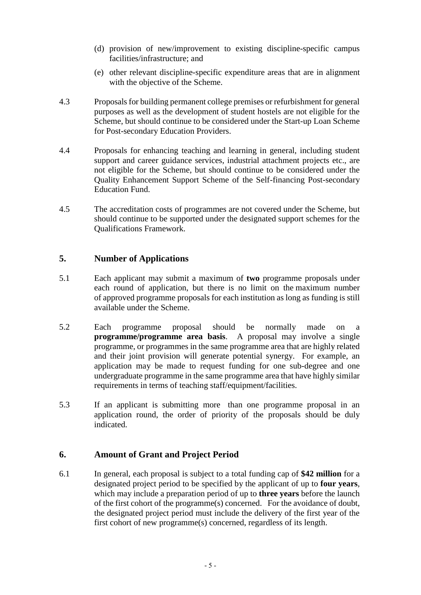- (d) provision of new/improvement to existing discipline-specific campus facilities/infrastructure; and
- (e) other relevant discipline-specific expenditure areas that are in alignment with the objective of the Scheme.
- 4.3 Proposals for building permanent college premises or refurbishment for general purposes as well as the development of student hostels are not eligible for the Scheme, but should continue to be considered under the Start-up Loan Scheme for Post-secondary Education Providers.
- 4.4 Proposals for enhancing teaching and learning in general, including student support and career guidance services, industrial attachment projects etc., are not eligible for the Scheme, but should continue to be considered under the Quality Enhancement Support Scheme of the Self-financing Post-secondary Education Fund.
- 4.5 The accreditation costs of programmes are not covered under the Scheme, but should continue to be supported under the designated support schemes for the Qualifications Framework.

#### <span id="page-4-0"></span>**5. Number of Applications**

- 5.1 Each applicant may submit a maximum of **two** programme proposals under each round of application, but there is no limit on the maximum number of approved programme proposals for each institution as long as funding is still available under the Scheme.
- 5.2 Each programme proposal should be normally made on a **programme/programme area basis**. A proposal may involve a single programme, or programmes in the same programme area that are highly related and their joint provision will generate potential synergy. For example, an application may be made to request funding for one sub-degree and one undergraduate programme in the same programme area that have highly similar requirements in terms of teaching staff/equipment/facilities.
- 5.3 If an applicant is submitting more than one programme proposal in an application round, the order of priority of the proposals should be duly indicated.

#### <span id="page-4-1"></span>**6. Amount of Grant and Project Period**

6.1 In general, each proposal is subject to a total funding cap of **\$42 million** for a designated project period to be specified by the applicant of up to **four years**, which may include a preparation period of up to **three years** before the launch of the first cohort of the programme(s) concerned. For the avoidance of doubt, the designated project period must include the delivery of the first year of the first cohort of new programme(s) concerned, regardless of its length.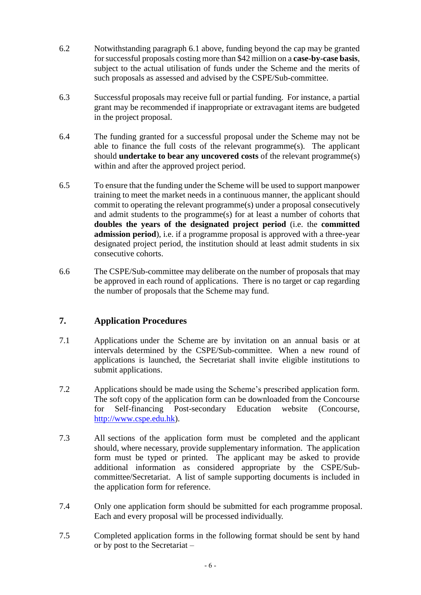- 6.2 Notwithstanding paragraph 6.1 above, funding beyond the cap may be granted for successful proposals costing more than \$42 million on a **case-by-case basis**, subject to the actual utilisation of funds under the Scheme and the merits of such proposals as assessed and advised by the CSPE/Sub-committee.
- 6.3 Successful proposals may receive full or partial funding. For instance, a partial grant may be recommended if inappropriate or extravagant items are budgeted in the project proposal.
- 6.4 The funding granted for a successful proposal under the Scheme may not be able to finance the full costs of the relevant programme(s). The applicant should **undertake to bear any uncovered costs** of the relevant programme(s) within and after the approved project period.
- 6.5 To ensure that the funding under the Scheme will be used to support manpower training to meet the market needs in a continuous manner, the applicant should commit to operating the relevant programme(s) under a proposal consecutively and admit students to the programme(s) for at least a number of cohorts that **doubles the years of the designated project period** (i.e. the **committed admission period**), i.e. if a programme proposal is approved with a three-year designated project period, the institution should at least admit students in six consecutive cohorts.
- 6.6 The CSPE/Sub-committee may deliberate on the number of proposals that may be approved in each round of applications. There is no target or cap regarding the number of proposals that the Scheme may fund.

#### <span id="page-5-0"></span>**7. Application Procedures**

- 7.1 Applications under the Scheme are by invitation on an annual basis or at intervals determined by the CSPE/Sub-committee. When a new round of applications is launched, the Secretariat shall invite eligible institutions to submit applications.
- 7.2 Applications should be made using the Scheme's prescribed application form. The soft copy of the application form can be downloaded from the Concourse for Self-financing Post-secondary Education website (Concourse, [http://www.cspe.edu.hk\)](http://www.cspe.edu.hk/).
- 7.3 All sections of the application form must be completed and the applicant should, where necessary, provide supplementary information. The application form must be typed or printed. The applicant may be asked to provide additional information as considered appropriate by the CSPE/Subcommittee/Secretariat. A list of sample supporting documents is included in the application form for reference.
- 7.4 Only one application form should be submitted for each programme proposal. Each and every proposal will be processed individually.
- 7.5 Completed application forms in the following format should be sent by hand or by post to the Secretariat –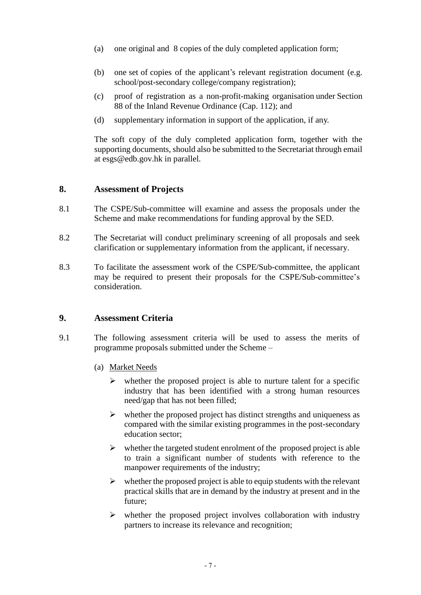- (a) one original and 8 copies of the duly completed application form;
- (b) one set of copies of the applicant's relevant registration document (e.g. school/post-secondary college/company registration);
- (c) proof of registration as a non-profit-making organisation under Section 88 of the Inland Revenue Ordinance (Cap. 112); and
- (d) supplementary information in support of the application, if any.

The soft copy of the duly completed application form, together with the supporting documents, should also be submitted to the Secretariat through email at esgs@edb.gov.hk in parallel.

#### <span id="page-6-0"></span>**8. Assessment of Projects**

- 8.1 The CSPE/Sub-committee will examine and assess the proposals under the Scheme and make recommendations for funding approval by the SED.
- 8.2 The Secretariat will conduct preliminary screening of all proposals and seek clarification or supplementary information from the applicant, if necessary.
- 8.3 To facilitate the assessment work of the CSPE/Sub-committee, the applicant may be required to present their proposals for the CSPE/Sub-committee's consideration.

#### <span id="page-6-1"></span>**9. Assessment Criteria**

- 9.1 The following assessment criteria will be used to assess the merits of programme proposals submitted under the Scheme –
	- (a) Market Needs
		- $\triangleright$  whether the proposed project is able to nurture talent for a specific industry that has been identified with a strong human resources need/gap that has not been filled;
		- $\triangleright$  whether the proposed project has distinct strengths and uniqueness as compared with the similar existing programmes in the post-secondary education sector;
		- $\triangleright$  whether the targeted student enrolment of the proposed project is able to train a significant number of students with reference to the manpower requirements of the industry;
		- $\triangleright$  whether the proposed project is able to equip students with the relevant practical skills that are in demand by the industry at present and in the future;
		- $\triangleright$  whether the proposed project involves collaboration with industry partners to increase its relevance and recognition;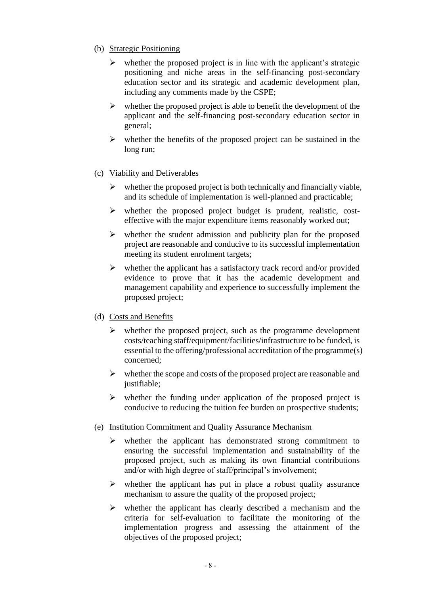- (b) Strategic Positioning
	- $\triangleright$  whether the proposed project is in line with the applicant's strategic positioning and niche areas in the self-financing post-secondary education sector and its strategic and academic development plan, including any comments made by the CSPE;
	- $\triangleright$  whether the proposed project is able to benefit the development of the applicant and the self-financing post-secondary education sector in general;
	- $\triangleright$  whether the benefits of the proposed project can be sustained in the long run;
- (c) Viability and Deliverables
	- $\triangleright$  whether the proposed project is both technically and financially viable, and its schedule of implementation is well-planned and practicable;
	- $\triangleright$  whether the proposed project budget is prudent, realistic, costeffective with the major expenditure items reasonably worked out;
	- $\triangleright$  whether the student admission and publicity plan for the proposed project are reasonable and conducive to its successful implementation meeting its student enrolment targets;
	- $\triangleright$  whether the applicant has a satisfactory track record and/or provided evidence to prove that it has the academic development and management capability and experience to successfully implement the proposed project;
- (d) Costs and Benefits
	- $\triangleright$  whether the proposed project, such as the programme development costs/teaching staff/equipment/facilities/infrastructure to be funded, is essential to the offering/professional accreditation of the programme(s) concerned;
	- $\triangleright$  whether the scope and costs of the proposed project are reasonable and justifiable;
	- $\triangleright$  whether the funding under application of the proposed project is conducive to reducing the tuition fee burden on prospective students;
- (e) Institution Commitment and Quality Assurance Mechanism
	- $\triangleright$  whether the applicant has demonstrated strong commitment to ensuring the successful implementation and sustainability of the proposed project, such as making its own financial contributions and/or with high degree of staff/principal's involvement;
	- $\triangleright$  whether the applicant has put in place a robust quality assurance mechanism to assure the quality of the proposed project;
	- $\triangleright$  whether the applicant has clearly described a mechanism and the criteria for self-evaluation to facilitate the monitoring of the implementation progress and assessing the attainment of the objectives of the proposed project;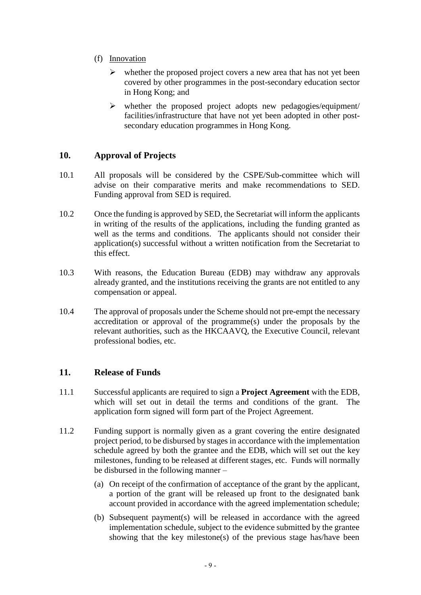- (f) Innovation
	- $\triangleright$  whether the proposed project covers a new area that has not yet been covered by other programmes in the post-secondary education sector in Hong Kong; and
	- $\triangleright$  whether the proposed project adopts new pedagogies/equipment/ facilities/infrastructure that have not yet been adopted in other postsecondary education programmes in Hong Kong.

#### <span id="page-8-0"></span>**10. Approval of Projects**

- 10.1 All proposals will be considered by the CSPE/Sub-committee which will advise on their comparative merits and make recommendations to SED. Funding approval from SED is required.
- 10.2 Once the funding is approved by SED, the Secretariat will inform the applicants in writing of the results of the applications, including the funding granted as well as the terms and conditions. The applicants should not consider their application(s) successful without a written notification from the Secretariat to this effect.
- 10.3 With reasons, the Education Bureau (EDB) may withdraw any approvals already granted, and the institutions receiving the grants are not entitled to any compensation or appeal.
- 10.4 The approval of proposals under the Scheme should not pre-empt the necessary accreditation or approval of the programme(s) under the proposals by the relevant authorities, such as the HKCAAVQ, the Executive Council, relevant professional bodies, etc.

#### <span id="page-8-1"></span>**11. Release of Funds**

- 11.1 Successful applicants are required to sign a **Project Agreement** with the EDB, which will set out in detail the terms and conditions of the grant. The application form signed will form part of the Project Agreement.
- 11.2 Funding support is normally given as a grant covering the entire designated project period, to be disbursed by stages in accordance with the implementation schedule agreed by both the grantee and the EDB, which will set out the key milestones, funding to be released at different stages, etc. Funds will normally be disbursed in the following manner –
	- (a) On receipt of the confirmation of acceptance of the grant by the applicant, a portion of the grant will be released up front to the designated bank account provided in accordance with the agreed implementation schedule;
	- (b) Subsequent payment(s) will be released in accordance with the agreed implementation schedule, subject to the evidence submitted by the grantee showing that the key milestone(s) of the previous stage has/have been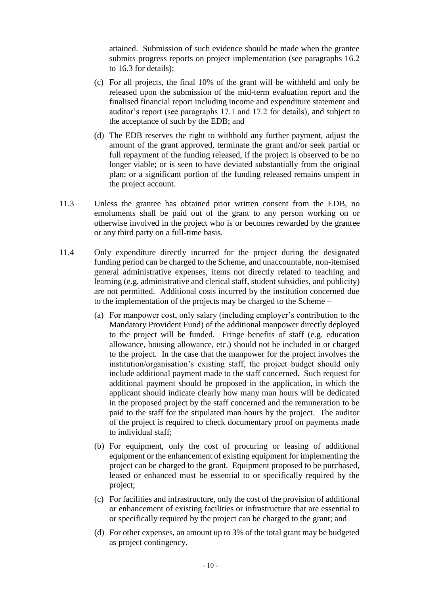attained. Submission of such evidence should be made when the grantee submits progress reports on project implementation (see paragraphs 16.2 to 16.3 for details);

- (c) For all projects, the final 10% of the grant will be withheld and only be released upon the submission of the mid-term evaluation report and the finalised financial report including income and expenditure statement and auditor's report (see paragraphs 17.1 and 17.2 for details), and subject to the acceptance of such by the EDB; and
- (d) The EDB reserves the right to withhold any further payment, adjust the amount of the grant approved, terminate the grant and/or seek partial or full repayment of the funding released, if the project is observed to be no longer viable; or is seen to have deviated substantially from the original plan; or a significant portion of the funding released remains unspent in the project account.
- 11.3 Unless the grantee has obtained prior written consent from the EDB, no emoluments shall be paid out of the grant to any person working on or otherwise involved in the project who is or becomes rewarded by the grantee or any third party on a full-time basis.
- 11.4 Only expenditure directly incurred for the project during the designated funding period can be charged to the Scheme, and unaccountable, non-itemised general administrative expenses, items not directly related to teaching and learning (e.g. administrative and clerical staff, student subsidies, and publicity) are not permitted. Additional costs incurred by the institution concerned due to the implementation of the projects may be charged to the Scheme –
	- (a) For manpower cost, only salary (including employer's contribution to the Mandatory Provident Fund) of the additional manpower directly deployed to the project will be funded. Fringe benefits of staff (e.g. education allowance, housing allowance, etc.) should not be included in or charged to the project. In the case that the manpower for the project involves the institution/organisation's existing staff, the project budget should only include additional payment made to the staff concerned. Such request for additional payment should be proposed in the application, in which the applicant should indicate clearly how many man hours will be dedicated in the proposed project by the staff concerned and the remuneration to be paid to the staff for the stipulated man hours by the project. The auditor of the project is required to check documentary proof on payments made to individual staff;
	- (b) For equipment, only the cost of procuring or leasing of additional equipment or the enhancement of existing equipment for implementing the project can be charged to the grant. Equipment proposed to be purchased, leased or enhanced must be essential to or specifically required by the project;
	- (c) For facilities and infrastructure, only the cost of the provision of additional or enhancement of existing facilities or infrastructure that are essential to or specifically required by the project can be charged to the grant; and
	- (d) For other expenses, an amount up to 3% of the total grant may be budgeted as project contingency.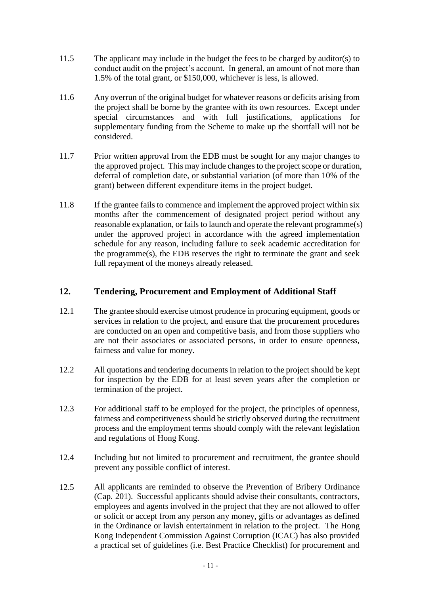- 11.5 The applicant may include in the budget the fees to be charged by auditor(s) to conduct audit on the project's account. In general, an amount of not more than 1.5% of the total grant, or \$150,000, whichever is less, is allowed.
- 11.6 Any overrun of the original budget for whatever reasons or deficits arising from the project shall be borne by the grantee with its own resources. Except under special circumstances and with full justifications, applications for supplementary funding from the Scheme to make up the shortfall will not be considered.
- 11.7 Prior written approval from the EDB must be sought for any major changes to the approved project. This may include changes to the project scope or duration, deferral of completion date, or substantial variation (of more than 10% of the grant) between different expenditure items in the project budget.
- 11.8 If the grantee fails to commence and implement the approved project within six months after the commencement of designated project period without any reasonable explanation, or fails to launch and operate the relevant programme(s) under the approved project in accordance with the agreed implementation schedule for any reason, including failure to seek academic accreditation for the programme(s), the EDB reserves the right to terminate the grant and seek full repayment of the moneys already released.

#### <span id="page-10-0"></span>**12. Tendering, Procurement and Employment of Additional Staff**

- 12.1 The grantee should exercise utmost prudence in procuring equipment, goods or services in relation to the project, and ensure that the procurement procedures are conducted on an open and competitive basis, and from those suppliers who are not their associates or associated persons, in order to ensure openness, fairness and value for money.
- 12.2 All quotations and tendering documents in relation to the project should be kept for inspection by the EDB for at least seven years after the completion or termination of the project.
- 12.3 For additional staff to be employed for the project, the principles of openness, fairness and competitiveness should be strictly observed during the recruitment process and the employment terms should comply with the relevant legislation and regulations of Hong Kong.
- 12.4 Including but not limited to procurement and recruitment, the grantee should prevent any possible conflict of interest.
- 12.5 All applicants are reminded to observe the Prevention of Bribery Ordinance (Cap. 201). Successful applicants should advise their consultants, contractors, employees and agents involved in the project that they are not allowed to offer or solicit or accept from any person any money, gifts or advantages as defined in the Ordinance or lavish entertainment in relation to the project. The Hong Kong Independent Commission Against Corruption (ICAC) has also provided a practical set of guidelines (i.e. Best Practice Checklist) for procurement and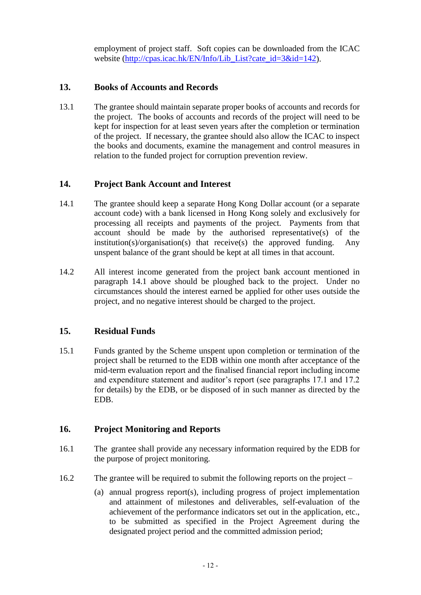employment of project staff. Soft copies can be downloaded from the ICAC website [\(http://cpas.icac.hk/EN/Info/Lib\\_List?cate\\_id=3&id=142\)](http://cpas.icac.hk/EN/Info/Lib_List?cate_id=3&id=142).

#### <span id="page-11-0"></span>**13. Books of Accounts and Records**

13.1 The grantee should maintain separate proper books of accounts and records for the project. The books of accounts and records of the project will need to be kept for inspection for at least seven years after the completion or termination of the project. If necessary, the grantee should also allow the ICAC to inspect the books and documents, examine the management and control measures in relation to the funded project for corruption prevention review.

#### <span id="page-11-1"></span>**14. Project Bank Account and Interest**

- 14.1 The grantee should keep a separate Hong Kong Dollar account (or a separate account code) with a bank licensed in Hong Kong solely and exclusively for processing all receipts and payments of the project. Payments from that account should be made by the authorised representative(s) of the institution(s)/organisation(s) that receive(s) the approved funding. Any unspent balance of the grant should be kept at all times in that account.
- 14.2 All interest income generated from the project bank account mentioned in paragraph 14.1 above should be ploughed back to the project. Under no circumstances should the interest earned be applied for other uses outside the project, and no negative interest should be charged to the project.

#### <span id="page-11-2"></span>**15. Residual Funds**

15.1 Funds granted by the Scheme unspent upon completion or termination of the project shall be returned to the EDB within one month after acceptance of the mid-term evaluation report and the finalised financial report including income and expenditure statement and auditor's report (see paragraphs 17.1 and 17.2 for details) by the EDB, or be disposed of in such manner as directed by the EDB.

#### <span id="page-11-3"></span>**16. Project Monitoring and Reports**

- 16.1 The grantee shall provide any necessary information required by the EDB for the purpose of project monitoring.
- 16.2 The grantee will be required to submit the following reports on the project
	- (a) annual progress report(s), including progress of project implementation and attainment of milestones and deliverables, self-evaluation of the achievement of the performance indicators set out in the application, etc., to be submitted as specified in the Project Agreement during the designated project period and the committed admission period;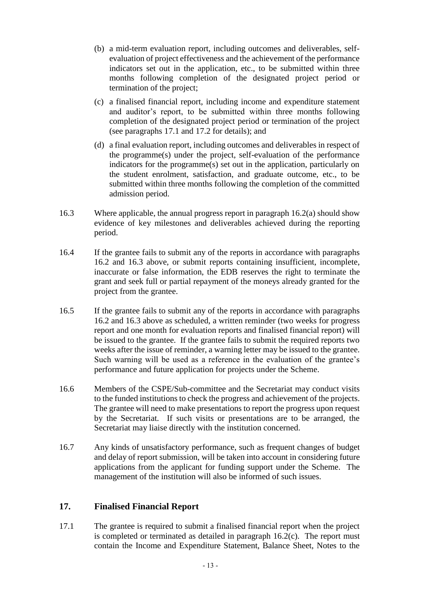- (b) a mid-term evaluation report, including outcomes and deliverables, selfevaluation of project effectiveness and the achievement of the performance indicators set out in the application, etc., to be submitted within three months following completion of the designated project period or termination of the project;
- (c) a finalised financial report, including income and expenditure statement and auditor's report, to be submitted within three months following completion of the designated project period or termination of the project (see paragraphs 17.1 and 17.2 for details); and
- (d) a final evaluation report, including outcomes and deliverables in respect of the programme(s) under the project, self-evaluation of the performance indicators for the programme(s) set out in the application, particularly on the student enrolment, satisfaction, and graduate outcome, etc., to be submitted within three months following the completion of the committed admission period.
- 16.3 Where applicable, the annual progress report in paragraph 16.2(a) should show evidence of key milestones and deliverables achieved during the reporting period.
- 16.4 If the grantee fails to submit any of the reports in accordance with paragraphs 16.2 and 16.3 above, or submit reports containing insufficient, incomplete, inaccurate or false information, the EDB reserves the right to terminate the grant and seek full or partial repayment of the moneys already granted for the project from the grantee.
- 16.5 If the grantee fails to submit any of the reports in accordance with paragraphs 16.2 and 16.3 above as scheduled, a written reminder (two weeks for progress report and one month for evaluation reports and finalised financial report) will be issued to the grantee. If the grantee fails to submit the required reports two weeks after the issue of reminder, a warning letter may be issued to the grantee. Such warning will be used as a reference in the evaluation of the grantee's performance and future application for projects under the Scheme.
- 16.6 Members of the CSPE/Sub-committee and the Secretariat may conduct visits to the funded institutions to check the progress and achievement of the projects. The grantee will need to make presentations to report the progress upon request by the Secretariat. If such visits or presentations are to be arranged, the Secretariat may liaise directly with the institution concerned.
- 16.7 Any kinds of unsatisfactory performance, such as frequent changes of budget and delay of report submission, will be taken into account in considering future applications from the applicant for funding support under the Scheme. The management of the institution will also be informed of such issues.

#### <span id="page-12-0"></span>**17. Finalised Financial Report**

17.1 The grantee is required to submit a finalised financial report when the project is completed or terminated as detailed in paragraph 16.2(c). The report must contain the Income and Expenditure Statement, Balance Sheet, Notes to the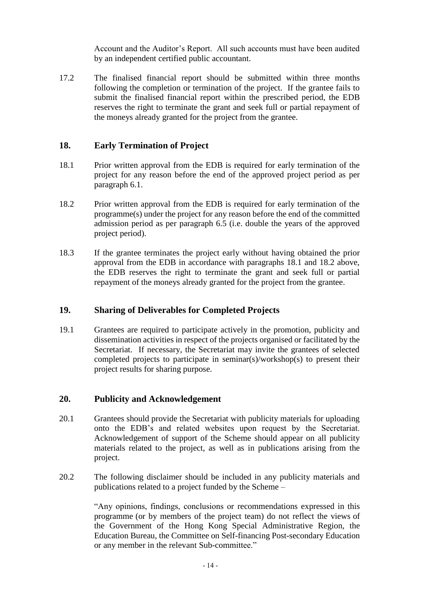Account and the Auditor's Report. All such accounts must have been audited by an independent certified public accountant.

17.2 The finalised financial report should be submitted within three months following the completion or termination of the project. If the grantee fails to submit the finalised financial report within the prescribed period, the EDB reserves the right to terminate the grant and seek full or partial repayment of the moneys already granted for the project from the grantee.

#### <span id="page-13-0"></span>**18. Early Termination of Project**

- 18.1 Prior written approval from the EDB is required for early termination of the project for any reason before the end of the approved project period as per paragraph 6.1.
- 18.2 Prior written approval from the EDB is required for early termination of the programme(s) under the project for any reason before the end of the committed admission period as per paragraph 6.5 (i.e. double the years of the approved project period).
- 18.3 If the grantee terminates the project early without having obtained the prior approval from the EDB in accordance with paragraphs 18.1 and 18.2 above, the EDB reserves the right to terminate the grant and seek full or partial repayment of the moneys already granted for the project from the grantee.

#### <span id="page-13-1"></span>**19. Sharing of Deliverables for Completed Projects**

19.1 Grantees are required to participate actively in the promotion, publicity and dissemination activities in respect of the projects organised or facilitated by the Secretariat. If necessary, the Secretariat may invite the grantees of selected completed projects to participate in seminar(s)/workshop(s) to present their project results for sharing purpose.

#### <span id="page-13-2"></span>**20. Publicity and Acknowledgement**

- 20.1 Grantees should provide the Secretariat with publicity materials for uploading onto the EDB's and related websites upon request by the Secretariat. Acknowledgement of support of the Scheme should appear on all publicity materials related to the project, as well as in publications arising from the project.
- 20.2 The following disclaimer should be included in any publicity materials and publications related to a project funded by the Scheme –

"Any opinions, findings, conclusions or recommendations expressed in this programme (or by members of the project team) do not reflect the views of the Government of the Hong Kong Special Administrative Region, the Education Bureau, the Committee on Self-financing Post-secondary Education or any member in the relevant Sub-committee."